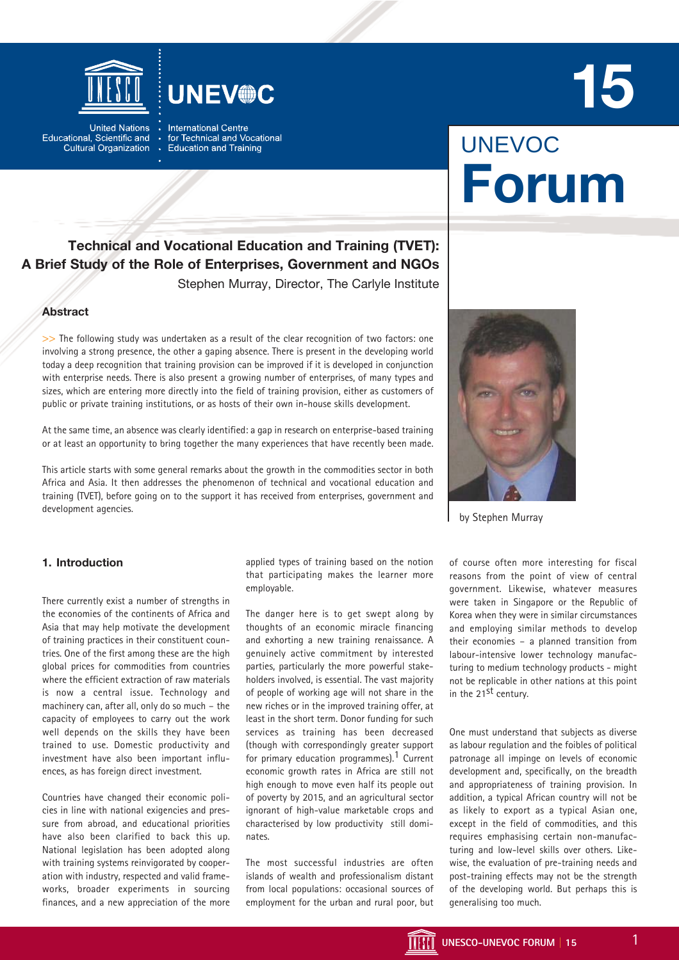



**United Nations** Educational, Scientific and **Cultural Organization**  **International Centre** for Technical and Vocational **Education and Training** 

# UNEVOC **Forum**

**15**

# **Technical and Vocational Education and Training (TVET): A Brief Study of the Role of Enterprises, Government and NGOs** Stephen Murray, Director, The Carlyle Institute

# **Abstract**

>> The following study was undertaken as a result of the clear recognition of two factors: one involving a strong presence, the other a gaping absence. There is present in the developing world today a deep recognition that training provision can be improved if it is developed in conjunction with enterprise needs. There is also present a growing number of enterprises, of many types and sizes, which are entering more directly into the field of training provision, either as customers of public or private training institutions, or as hosts of their own in-house skills development.

At the same time, an absence was clearly identified: a gap in research on enterprise-based training or at least an opportunity to bring together the many experiences that have recently been made.

This article starts with some general remarks about the growth in the commodities sector in both Africa and Asia. It then addresses the phenomenon of technical and vocational education and training (TVET), before going on to the support it has received from enterprises, government and development agencies.



by Stephen Murray

# **1. Introduction**

There currently exist a number of strengths in the economies of the continents of Africa and Asia that may help motivate the development of training practices in their constituent countries. One of the first among these are the high global prices for commodities from countries where the efficient extraction of raw materials is now a central issue. Technology and machinery can, after all, only do so much – the capacity of employees to carry out the work well depends on the skills they have been trained to use. Domestic productivity and investment have also been important influences, as has foreign direct investment.

Countries have changed their economic policies in line with national exigencies and pressure from abroad, and educational priorities have also been clarified to back this up. National legislation has been adopted along with training systems reinvigorated by cooperation with industry, respected and valid frameworks, broader experiments in sourcing finances, and a new appreciation of the more

applied types of training based on the notion that participating makes the learner more employable.

The danger here is to get swept along by thoughts of an economic miracle financing and exhorting a new training renaissance. A genuinely active commitment by interested parties, particularly the more powerful stakeholders involved, is essential. The vast majority of people of working age will not share in the new riches or in the improved training offer, at least in the short term. Donor funding for such services as training has been decreased (though with correspondingly greater support for primary education programmes).<sup>1</sup> Current economic growth rates in Africa are still not high enough to move even half its people out of poverty by 2015, and an agricultural sector ignorant of high-value marketable crops and characterised by low productivity still dominates.

The most successful industries are often islands of wealth and professionalism distant from local populations: occasional sources of employment for the urban and rural poor, but

of course often more interesting for fiscal reasons from the point of view of central government. Likewise, whatever measures were taken in Singapore or the Republic of Korea when they were in similar circumstances and employing similar methods to develop their economies – a planned transition from labour-intensive lower technology manufacturing to medium technology products - might not be replicable in other nations at this point in the 21<sup>st</sup> century.

One must understand that subjects as diverse as labour regulation and the foibles of political patronage all impinge on levels of economic development and, specifically, on the breadth and appropriateness of training provision. In addition, a typical African country will not be as likely to export as a typical Asian one, except in the field of commodities, and this requires emphasising certain non-manufacturing and low-level skills over others. Likewise, the evaluation of pre-training needs and post-training effects may not be the strength of the developing world. But perhaps this is generalising too much.

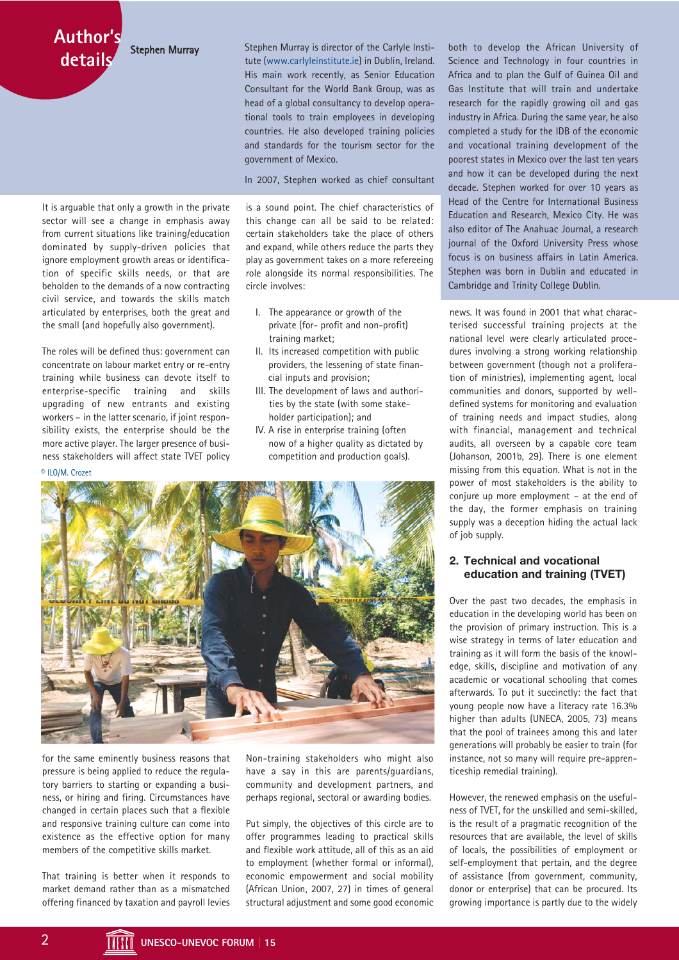Stephen Murray

**Author's details**

It is arguable that only a growth in the private sector will see a change in emphasis away from current situations like training/education dominated by supply-driven policies that ignore employment growth areas or identification of specific skills needs, or that are beholden to the demands of a now contracting civil service, and towards the skills match articulated by enterprises, both the great and the small (and hopefully also government).

The roles will be defined thus: government can concentrate on labour market entry or re-entry training while business can devote itself to enterprise-specific training and skills upgrading of new entrants and existing workers – in the latter scenario, if joint responsibility exists, the enterprise should be the more active player. The larger presence of business stakeholders will affect state TVET policy © ILO/M. Crozet

Stephen Murray is director of the Carlyle Institute (www.carlyleinstitute.ie) in Dublin, Ireland. His main work recently, as Senior Education Consultant for the World Bank Group, was as head of a global consultancy to develop operational tools to train employees in developing countries. He also developed training policies and standards for the tourism sector for the government of Mexico.

In 2007, Stephen worked as chief consultant

is a sound point. The chief characteristics of this change can all be said to be related: certain stakeholders take the place of others and expand, while others reduce the parts they play as government takes on a more refereeing role alongside its normal responsibilities. The circle involves:

- I. The appearance or growth of the private (for- profit and non-profit) training market;
- II. Its increased competition with public providers, the lessening of state financial inputs and provision;
- III. The development of laws and authorities by the state (with some stakeholder participation); and
- IV. A rise in enterprise training (often now of a higher quality as dictated by competition and production goals).



for the same eminently business reasons that pressure is being applied to reduce the regulatory barriers to starting or expanding a business, or hiring and firing. Circumstances have changed in certain places such that a flexible and responsive training culture can come into existence as the effective option for many members of the competitive skills market.

That training is better when it responds to market demand rather than as a mismatched offering financed by taxation and payroll levies

Non-training stakeholders who might also have a say in this are parents/guardians, community and development partners, and perhaps regional, sectoral or awarding bodies.

Put simply, the objectives of this circle are to offer programmes leading to practical skills and flexible work attitude, all of this as an aid to employment (whether formal or informal), economic empowerment and social mobility (African Union, 2007, 27) in times of general structural adjustment and some good economic

both to develop the African University of Science and Technology in four countries in Africa and to plan the Gulf of Guinea Oil and Gas Institute that will train and undertake research for the rapidly growing oil and gas industry in Africa. During the same year, he also completed a study for the IDB of the economic and vocational training development of the poorest states in Mexico over the last ten years and how it can be developed during the next decade. Stephen worked for over 10 years as Head of the Centre for International Business Education and Research, Mexico City. He was also editor of The Anahuac Journal, a research journal of the Oxford University Press whose focus is on business affairs in Latin America. Stephen was born in Dublin and educated in Cambridge and Trinity College Dublin.

news. It was found in 2001 that what characterised successful training projects at the national level were clearly articulated procedures involving a strong working relationship between government (though not a proliferation of ministries), implementing agent, local communities and donors, supported by welldefined systems for monitoring and evaluation of training needs and impact studies, along with financial, management and technical audits, all overseen by a capable core team (Johanson, 2001b, 29). There is one element missing from this equation. What is not in the power of most stakeholders is the ability to conjure up more employment – at the end of the day, the former emphasis on training supply was a deception hiding the actual lack of job supply.

# **2. Technical and vocational education and training (TVET)**

Over the past two decades, the emphasis in education in the developing world has been on the provision of primary instruction. This is a wise strategy in terms of later education and training as it will form the basis of the knowledge, skills, discipline and motivation of any academic or vocational schooling that comes afterwards. To put it succinctly: the fact that young people now have a literacy rate 16.3% higher than adults (UNECA, 2005, 73) means that the pool of trainees among this and later generations will probably be easier to train (for instance, not so many will require pre-apprenticeship remedial training).

However, the renewed emphasis on the usefulness of TVET, for the unskilled and semi-skilled, is the result of a pragmatic recognition of the resources that are available, the level of skills of locals, the possibilities of employment or self-employment that pertain, and the degree of assistance (from government, community, donor or enterprise) that can be procured. Its growing importance is partly due to the widely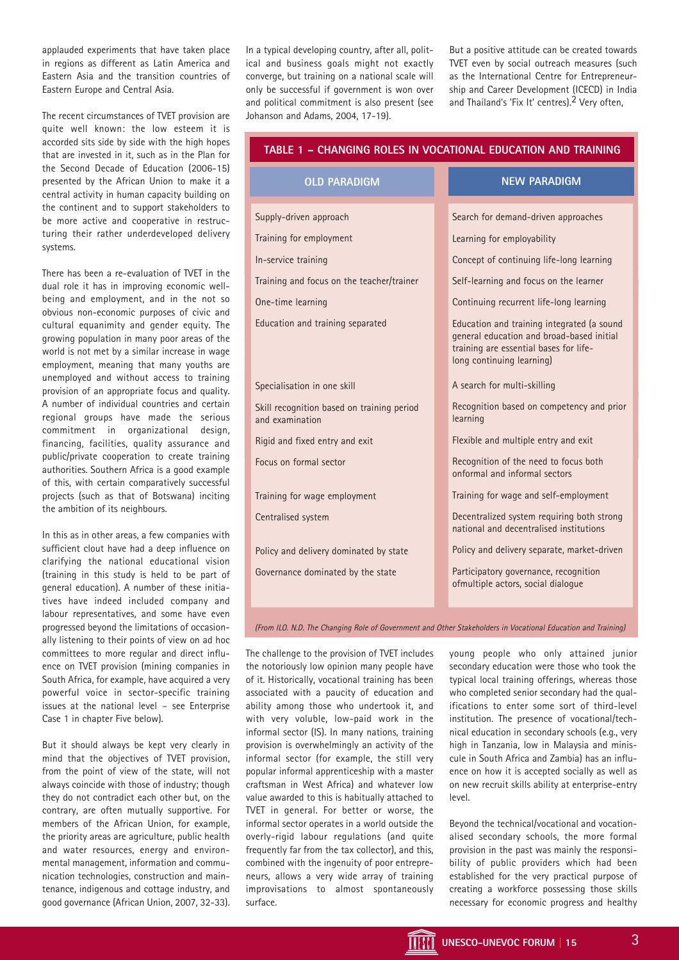applauded experiments that have taken place in regions as different as Latin America and Eastern Asia and the transition countries of Eastern Europe and Central Asia.

The recent circumstances of TVET provision are quite well known: the low esteem it is accorded sits side by side with the high hopes that are invested in it, such as in the Plan for the Second Decade of Education (2006-15) presented by the African Union to make it a central activity in human capacity building on the continent and to support stakeholders to be more active and cooperative in restructuring their rather underdeveloped delivery systems.

There has been a re-evaluation of TVET in the dual role it has in improving economic wellbeing and employment, and in the not so obvious non-economic purposes of civic and cultural equanimity and gender equity. The growing population in many poor areas of the world is not met by a similar increase in wage employment, meaning that many youths are unemployed and without access to training provision of an appropriate focus and quality. A number of individual countries and certain regional groups have made the serious commitment in organizational design, financing, facilities, quality assurance and public/private cooperation to create training authorities. Southern Africa is a good example of this, with certain comparatively successful projects (such as that of Botswana) inciting the ambition of its neighbours.

In this as in other areas, a few companies with sufficient clout have had a deep influence on clarifying the national educational vision (training in this study is held to be part of general education). A number of these initiatives have indeed included company and labour representatives, and some have even progressed beyond the limitations of occasionally listening to their points of view on ad hoc committees to more regular and direct influence on TVET provision (mining companies in South Africa, for example, have acquired a very powerful voice in sector-specific training issues at the national level – see Enterprise Case 1 in chapter Five below).

But it should always be kept very clearly in mind that the objectives of TVET provision, from the point of view of the state, will not always coincide with those of industry; though they do not contradict each other but, on the contrary, are often mutually supportive. For members of the African Union, for example, the priority areas are agriculture, public health and water resources, energy and environmental management, information and communication technologies, construction and maintenance, indigenous and cottage industry, and good governance (African Union, 2007, 32-33).

In a typical developing country, after all, political and business goals might not exactly converge, but training on a national scale will only be successful if government is won over and political commitment is also present (see Johanson and Adams, 2004, 17-19).

But a positive attitude can be created towards TVET even by social outreach measures (such as the International Centre for Entrepreneurship and Career Development (ICECD) in India and Thailand's 'Fix It' centres).<sup>2</sup> Very often,

| TABLE 1 – CHANGING ROLES IN VOCATIONAL EDUCATION AND TRAINING |                                                                                                                                                                |
|---------------------------------------------------------------|----------------------------------------------------------------------------------------------------------------------------------------------------------------|
| <b>OLD PARADIGM</b>                                           | <b>NEW PARADIGM</b>                                                                                                                                            |
| Supply-driven approach                                        | Search for demand-driven approaches                                                                                                                            |
| Training for employment                                       | Learning for employability                                                                                                                                     |
| In-service training                                           | Concept of continuing life-long learning                                                                                                                       |
| Training and focus on the teacher/trainer                     | Self-learning and focus on the learner                                                                                                                         |
| One-time learning                                             | Continuing recurrent life-long learning                                                                                                                        |
| Education and training separated                              | Education and training integrated (a sound<br>general education and broad-based initial<br>training are essential bases for life-<br>long continuing learning) |
| Specialisation in one skill                                   | A search for multi-skilling                                                                                                                                    |
| Skill recognition based on training period<br>and examination | Recognition based on competency and prior<br>learning                                                                                                          |
| Rigid and fixed entry and exit                                | Flexible and multiple entry and exit                                                                                                                           |
| Focus on formal sector                                        | Recognition of the need to focus both<br>onformal and informal sectors                                                                                         |
| Training for wage employment                                  | Training for wage and self-employment                                                                                                                          |
| Centralised system                                            | Decentralized system requiring both strong<br>national and decentralised institutions                                                                          |
| Policy and delivery dominated by state                        | Policy and delivery separate, market-driven                                                                                                                    |
| Governance dominated by the state                             | Participatory governance, recognition<br>ofmultiple actors, social dialogue                                                                                    |
|                                                               |                                                                                                                                                                |

(From ILO. N.D. The Changing Role of Government and Other Stakeholders in Vocational Education and Training)

The challenge to the provision of TVET includes the notoriously low opinion many people have of it. Historically, vocational training has been associated with a paucity of education and ability among those who undertook it, and with very voluble, low-paid work in the informal sector (IS). In many nations, training provision is overwhelmingly an activity of the informal sector (for example, the still very popular informal apprenticeship with a master craftsman in West Africa) and whatever low value awarded to this is habitually attached to TVET in general. For better or worse, the informal sector operates in a world outside the overly-rigid labour regulations (and quite frequently far from the tax collector), and this, combined with the ingenuity of poor entrepreneurs, allows a very wide array of training improvisations to almost spontaneously surface.

young people who only attained junior secondary education were those who took the typical local training offerings, whereas those who completed senior secondary had the qualifications to enter some sort of third-level institution. The presence of vocational/technical education in secondary schools (e.g., very high in Tanzania, low in Malaysia and miniscule in South Africa and Zambia) has an influence on how it is accepted socially as well as on new recruit skills ability at enterprise-entry level.

Beyond the technical/vocational and vocationalised secondary schools, the more formal provision in the past was mainly the responsibility of public providers which had been established for the very practical purpose of creating a workforce possessing those skills necessary for economic progress and healthy

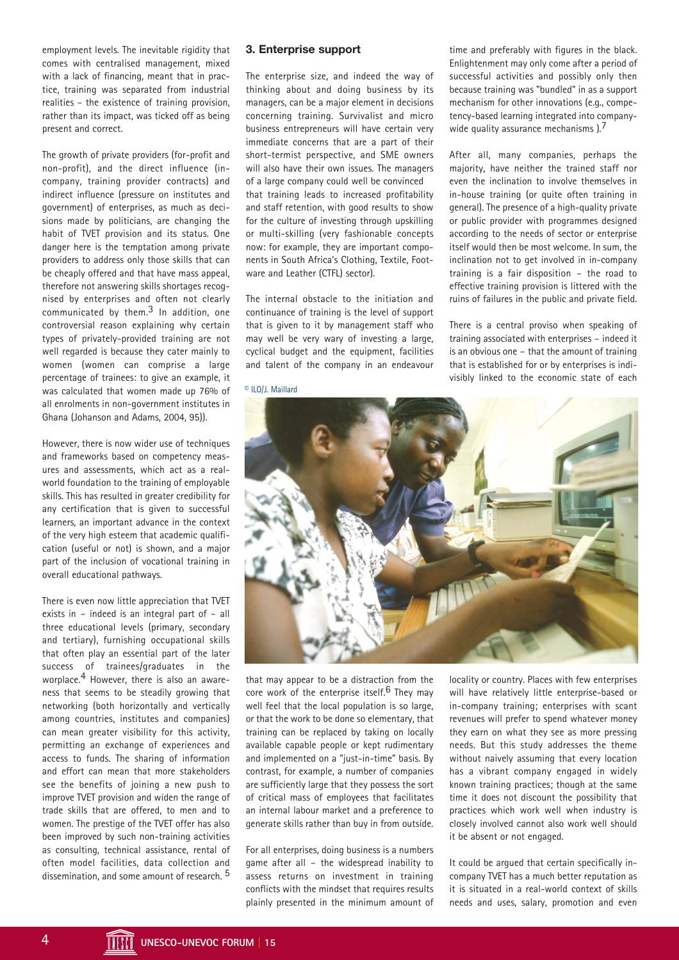employment levels. The inevitable rigidity that comes with centralised management, mixed with a lack of financing, meant that in practice, training was separated from industrial realities – the existence of training provision, rather than its impact, was ticked off as being present and correct.

The growth of private providers (for-profit and non-profit), and the direct influence (incompany, training provider contracts) and indirect influence (pressure on institutes and government) of enterprises, as much as decisions made by politicians, are changing the habit of TVET provision and its status. One danger here is the temptation among private providers to address only those skills that can be cheaply offered and that have mass appeal, therefore not answering skills shortages recognised by enterprises and often not clearly communicated by them. $3$  In addition, one controversial reason explaining why certain types of privately-provided training are not well regarded is because they cater mainly to women (women can comprise a large percentage of trainees: to give an example, it was calculated that women made up 76% of all enrolments in non-government institutes in Ghana (Johanson and Adams, 2004, 95)).

However, there is now wider use of techniques and frameworks based on competency measures and assessments, which act as a realworld foundation to the training of employable skills. This has resulted in greater credibility for any certification that is given to successful learners, an important advance in the context of the very high esteem that academic qualification (useful or not) is shown, and a major part of the inclusion of vocational training in overall educational pathways.

There is even now little appreciation that TVET exists in – indeed is an integral part of – all three educational levels (primary, secondary and tertiary), furnishing occupational skills that often play an essential part of the later success of trainees/graduates in the worplace.4 However, there is also an awareness that seems to be steadily growing that networking (both horizontally and vertically among countries, institutes and companies) can mean greater visibility for this activity, permitting an exchange of experiences and access to funds. The sharing of information and effort can mean that more stakeholders see the benefits of joining a new push to improve TVET provision and widen the range of trade skills that are offered, to men and to women. The prestige of the TVET offer has also been improved by such non-training activities as consulting, technical assistance, rental of often model facilities, data collection and dissemination, and some amount of research.<sup>5</sup>

#### **3. Enterprise support**

The enterprise size, and indeed the way of thinking about and doing business by its managers, can be a major element in decisions concerning training. Survivalist and micro business entrepreneurs will have certain very immediate concerns that are a part of their short-termist perspective, and SME owners will also have their own issues. The managers of a large company could well be convinced that training leads to increased profitability and staff retention, with good results to show for the culture of investing through upskilling or multi-skilling (very fashionable concepts now: for example, they are important components in South Africa's Clothing, Textile, Footware and Leather (CTFL) sector).

The internal obstacle to the initiation and continuance of training is the level of support that is given to it by management staff who may well be very wary of investing a large, cyclical budget and the equipment, facilities and talent of the company in an endeavour

© ILO/J. Maillard

time and preferably with figures in the black. Enlightenment may only come after a period of successful activities and possibly only then because training was "bundled" in as a support mechanism for other innovations (e.g., competency-based learning integrated into companywide quality assurance mechanisms  $1.7$ 

After all, many companies, perhaps the majority, have neither the trained staff nor even the inclination to involve themselves in in-house training (or quite often training in general). The presence of a high-quality private or public provider with programmes designed according to the needs of sector or enterprise itself would then be most welcome. In sum, the inclination not to get involved in in-company training is a fair disposition – the road to effective training provision is littered with the ruins of failures in the public and private field.

There is a central proviso when speaking of training associated with enterprises – indeed it is an obvious one – that the amount of training that is established for or by enterprises is indivisibly linked to the economic state of each



that may appear to be a distraction from the core work of the enterprise itself.<sup>6</sup> They may well feel that the local population is so large, or that the work to be done so elementary, that training can be replaced by taking on locally available capable people or kept rudimentary and implemented on a "just-in-time" basis. By contrast, for example, a number of companies are sufficiently large that they possess the sort of critical mass of employees that facilitates an internal labour market and a preference to generate skills rather than buy in from outside.

For all enterprises, doing business is a numbers game after all – the widespread inability to assess returns on investment in training conflicts with the mindset that requires results plainly presented in the minimum amount of

locality or country. Places with few enterprises will have relatively little enterprise-based or in-company training; enterprises with scant revenues will prefer to spend whatever money they earn on what they see as more pressing needs. But this study addresses the theme without naively assuming that every location has a vibrant company engaged in widely known training practices; though at the same time it does not discount the possibility that practices which work well when industry is closely involved cannot also work well should it be absent or not engaged.

It could be argued that certain specifically incompany TVET has a much better reputation as it is situated in a real-world context of skills needs and uses, salary, promotion and even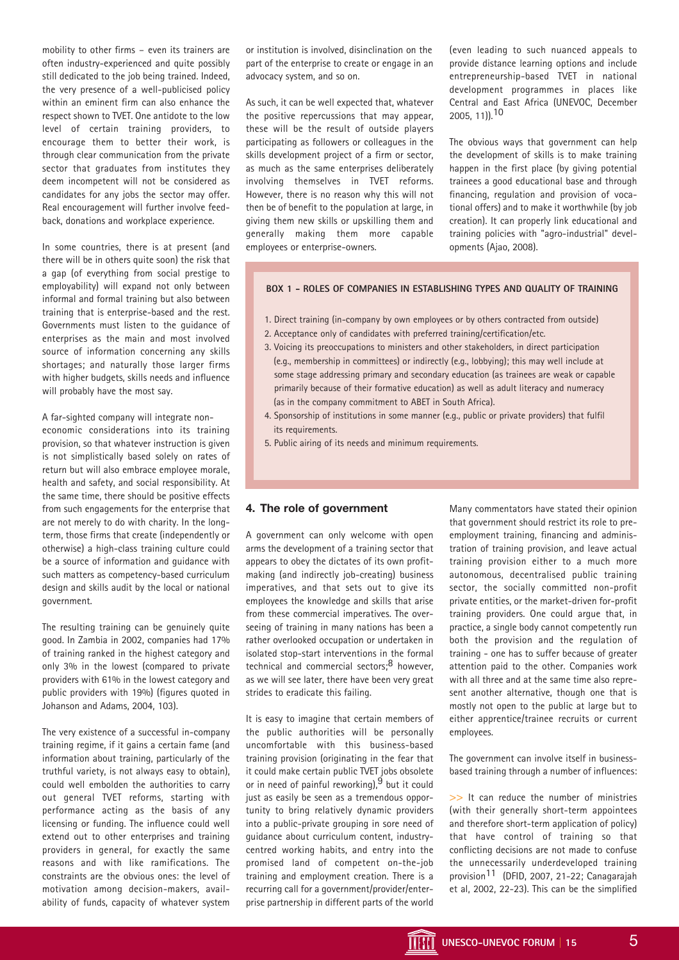mobility to other firms – even its trainers are often industry-experienced and quite possibly still dedicated to the job being trained. Indeed, the very presence of a well-publicised policy within an eminent firm can also enhance the respect shown to TVET. One antidote to the low level of certain training providers, to encourage them to better their work, is through clear communication from the private sector that graduates from institutes they deem incompetent will not be considered as candidates for any jobs the sector may offer. Real encouragement will further involve feedback, donations and workplace experience.

In some countries, there is at present (and there will be in others quite soon) the risk that a gap (of everything from social prestige to employability) will expand not only between informal and formal training but also between training that is enterprise-based and the rest. Governments must listen to the guidance of enterprises as the main and most involved source of information concerning any skills shortages; and naturally those larger firms with higher budgets, skills needs and influence will probably have the most say.

A far-sighted company will integrate noneconomic considerations into its training provision, so that whatever instruction is given is not simplistically based solely on rates of return but will also embrace employee morale, health and safety, and social responsibility. At the same time, there should be positive effects from such engagements for the enterprise that are not merely to do with charity. In the longterm, those firms that create (independently or otherwise) a high-class training culture could be a source of information and guidance with such matters as competency-based curriculum design and skills audit by the local or national government.

The resulting training can be genuinely quite good. In Zambia in 2002, companies had 17% of training ranked in the highest category and only 3% in the lowest (compared to private providers with 61% in the lowest category and public providers with 19%) (figures quoted in Johanson and Adams, 2004, 103).

The very existence of a successful in-company training regime, if it gains a certain fame (and information about training, particularly of the truthful variety, is not always easy to obtain), could well embolden the authorities to carry out general TVET reforms, starting with performance acting as the basis of any licensing or funding. The influence could well extend out to other enterprises and training providers in general, for exactly the same reasons and with like ramifications. The constraints are the obvious ones: the level of motivation among decision-makers, availability of funds, capacity of whatever system

or institution is involved, disinclination on the part of the enterprise to create or engage in an advocacy system, and so on.

As such, it can be well expected that, whatever the positive repercussions that may appear, these will be the result of outside players participating as followers or colleagues in the skills development project of a firm or sector, as much as the same enterprises deliberately involving themselves in TVET reforms. However, there is no reason why this will not then be of benefit to the population at large, in giving them new skills or upskilling them and generally making them more capable employees or enterprise-owners.

(even leading to such nuanced appeals to provide distance learning options and include entrepreneurship-based TVET in national development programmes in places like Central and East Africa (UNEVOC, December 2005, 11)).10

The obvious ways that government can help the development of skills is to make training happen in the first place (by giving potential trainees a good educational base and through financing, regulation and provision of vocational offers) and to make it worthwhile (by job creation). It can properly link educational and training policies with "agro-industrial" developments (Ajao, 2008).

#### **BOX 1 - ROLES OF COMPANIES IN ESTABLISHING TYPES AND QUALITY OF TRAINING**

- 1. Direct training (in-company by own employees or by others contracted from outside)
- 2. Acceptance only of candidates with preferred training/certification/etc.
- 3. Voicing its preoccupations to ministers and other stakeholders, in direct participation (e.g., membership in committees) or indirectly (e.g., lobbying); this may well include at some stage addressing primary and secondary education (as trainees are weak or capable primarily because of their formative education) as well as adult literacy and numeracy (as in the company commitment to ABET in South Africa).
- 4. Sponsorship of institutions in some manner (e.g., public or private providers) that fulfil its requirements.
- 5. Public airing of its needs and minimum requirements.

# **4. The role of government**

A government can only welcome with open arms the development of a training sector that appears to obey the dictates of its own profitmaking (and indirectly job-creating) business imperatives, and that sets out to give its employees the knowledge and skills that arise from these commercial imperatives. The overseeing of training in many nations has been a rather overlooked occupation or undertaken in isolated stop-start interventions in the formal technical and commercial sectors;<sup>8</sup> however, as we will see later, there have been very great strides to eradicate this failing.

It is easy to imagine that certain members of the public authorities will be personally uncomfortable with this business-based training provision (originating in the fear that it could make certain public TVET jobs obsolete or in need of painful reworking),  $9$  but it could just as easily be seen as a tremendous opportunity to bring relatively dynamic providers into a public-private grouping in sore need of guidance about curriculum content, industrycentred working habits, and entry into the promised land of competent on-the-job training and employment creation. There is a recurring call for a government/provider/enterprise partnership in different parts of the world

Many commentators have stated their opinion that government should restrict its role to preemployment training, financing and administration of training provision, and leave actual training provision either to a much more autonomous, decentralised public training sector, the socially committed non-profit private entities, or the market-driven for-profit training providers. One could argue that, in practice, a single body cannot competently run both the provision and the regulation of training - one has to suffer because of greater attention paid to the other. Companies work with all three and at the same time also represent another alternative, though one that is mostly not open to the public at large but to either apprentice/trainee recruits or current employees.

The government can involve itself in businessbased training through a number of influences:

>> It can reduce the number of ministries (with their generally short-term appointees and therefore short-term application of policy) that have control of training so that conflicting decisions are not made to confuse the unnecessarily underdeveloped training provision11 (DFID, 2007, 21-22; Canagarajah et al, 2002, 22-23). This can be the simplified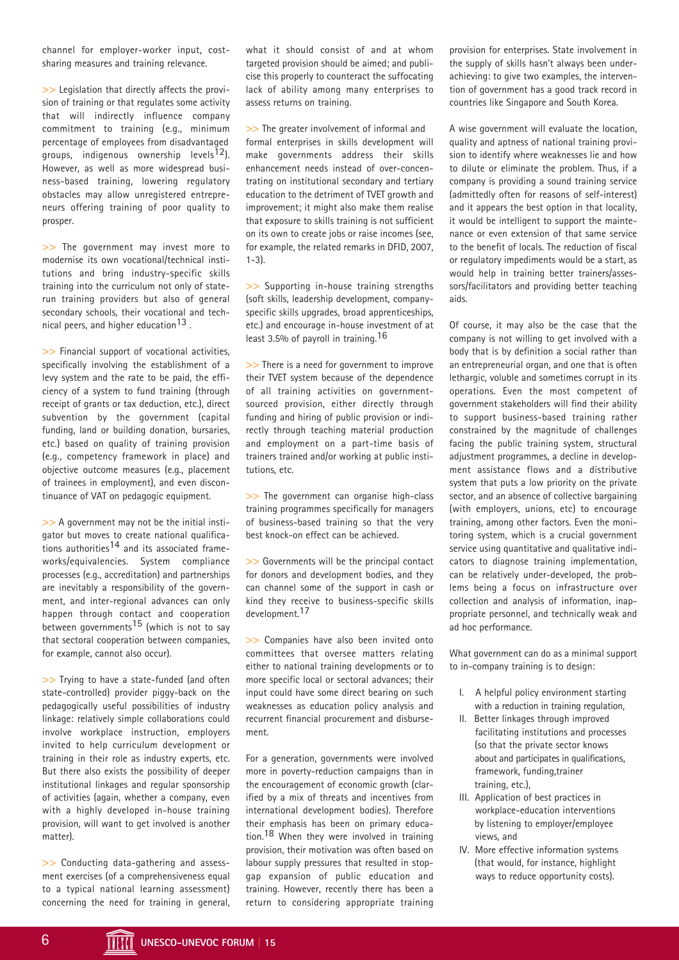channel for employer-worker input, costsharing measures and training relevance.

>> Legislation that directly affects the provision of training or that regulates some activity that will indirectly influence company commitment to training (e.g., minimum percentage of employees from disadvantaged groups, indigenous ownership levels<sup>12</sup>). However, as well as more widespread business-based training, lowering regulatory obstacles may allow unregistered entrepreneurs offering training of poor quality to prosper.

>> The government may invest more to modernise its own vocational/technical institutions and bring industry-specific skills training into the curriculum not only of staterun training providers but also of general secondary schools, their vocational and technical peers, and higher education<sup>13</sup>.

>> Financial support of vocational activities, specifically involving the establishment of a levy system and the rate to be paid, the efficiency of a system to fund training (through receipt of grants or tax deduction, etc.), direct subvention by the government (capital funding, land or building donation, bursaries, etc.) based on quality of training provision (e.g., competency framework in place) and objective outcome measures (e.g., placement of trainees in employment), and even discontinuance of VAT on pedagogic equipment.

>> A government may not be the initial instigator but moves to create national qualifications authorities<sup>14</sup> and its associated frameworks/equivalencies. System compliance processes (e.g., accreditation) and partnerships are inevitably a responsibility of the government, and inter-regional advances can only happen through contact and cooperation between governments<sup>15</sup> (which is not to say that sectoral cooperation between companies, for example, cannot also occur).

>> Trying to have a state-funded (and often state-controlled) provider piggy-back on the pedagogically useful possibilities of industry linkage: relatively simple collaborations could involve workplace instruction, employers invited to help curriculum development or training in their role as industry experts, etc. But there also exists the possibility of deeper institutional linkages and regular sponsorship of activities (again, whether a company, even with a highly developed in-house training provision, will want to get involved is another matter).

>> Conducting data-gathering and assessment exercises (of a comprehensiveness equal to a typical national learning assessment) concerning the need for training in general, what it should consist of and at whom targeted provision should be aimed; and publicise this properly to counteract the suffocating lack of ability among many enterprises to assess returns on training.

>> The greater involvement of informal and formal enterprises in skills development will make governments address their skills enhancement needs instead of over-concentrating on institutional secondary and tertiary education to the detriment of TVET growth and improvement; it might also make them realise that exposure to skills training is not sufficient on its own to create jobs or raise incomes (see, for example, the related remarks in DFID, 2007, 1-3).

>> Supporting in-house training strengths (soft skills, leadership development, companyspecific skills upgrades, broad apprenticeships, etc.) and encourage in-house investment of at least 3.5% of payroll in training.16

>> There is a need for government to improve their TVET system because of the dependence of all training activities on governmentsourced provision, either directly through funding and hiring of public provision or indirectly through teaching material production and employment on a part-time basis of trainers trained and/or working at public institutions, etc.

>> The government can organise high-class training programmes specifically for managers of business-based training so that the very best knock-on effect can be achieved.

>> Governments will be the principal contact for donors and development bodies, and they can channel some of the support in cash or kind they receive to business-specific skills development.17

>> Companies have also been invited onto committees that oversee matters relating either to national training developments or to more specific local or sectoral advances; their input could have some direct bearing on such weaknesses as education policy analysis and recurrent financial procurement and disbursement.

For a generation, governments were involved more in poverty-reduction campaigns than in the encouragement of economic growth (clarified by a mix of threats and incentives from international development bodies). Therefore their emphasis has been on primary education.<sup>18</sup> When they were involved in training provision, their motivation was often based on labour supply pressures that resulted in stopgap expansion of public education and training. However, recently there has been a return to considering appropriate training

provision for enterprises. State involvement in the supply of skills hasn't always been underachieving: to give two examples, the intervention of government has a good track record in countries like Singapore and South Korea.

A wise government will evaluate the location, quality and aptness of national training provision to identify where weaknesses lie and how to dilute or eliminate the problem. Thus, if a company is providing a sound training service (admittedly often for reasons of self-interest) and it appears the best option in that locality, it would be intelligent to support the maintenance or even extension of that same service to the benefit of locals. The reduction of fiscal or regulatory impediments would be a start, as would help in training better trainers/assessors/facilitators and providing better teaching aids.

Of course, it may also be the case that the company is not willing to get involved with a body that is by definition a social rather than an entrepreneurial organ, and one that is often lethargic, voluble and sometimes corrupt in its operations. Even the most competent of government stakeholders will find their ability to support business-based training rather constrained by the magnitude of challenges facing the public training system, structural adjustment programmes, a decline in development assistance flows and a distributive system that puts a low priority on the private sector, and an absence of collective bargaining (with employers, unions, etc) to encourage training, among other factors. Even the monitoring system, which is a crucial government service using quantitative and qualitative indicators to diagnose training implementation, can be relatively under-developed, the problems being a focus on infrastructure over collection and analysis of information, inappropriate personnel, and technically weak and ad hoc performance.

What government can do as a minimal support to in-company training is to design:

- I. A helpful policy environment starting with a reduction in training regulation,
- II. Better linkages through improved facilitating institutions and processes (so that the private sector knows about and participates in qualifications, framework, funding,trainer training, etc.),
- III. Application of best practices in workplace-education interventions by listening to employer/employee views, and
- IV. More effective information systems (that would, for instance, highlight ways to reduce opportunity costs).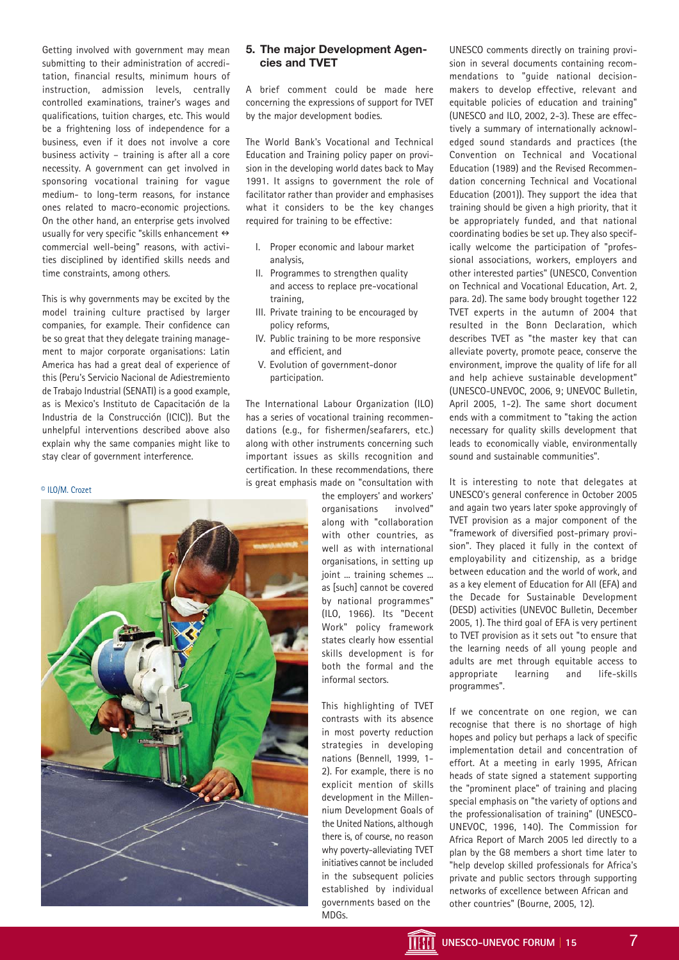Getting involved with government may mean submitting to their administration of accreditation, financial results, minimum hours of instruction, admission levels, centrally controlled examinations, trainer's wages and qualifications, tuition charges, etc. This would be a frightening loss of independence for a business, even if it does not involve a core business activity – training is after all a core necessity. A government can get involved in sponsoring vocational training for vague medium- to long-term reasons, for instance ones related to macro-economic projections. On the other hand, an enterprise gets involved usually for very specific "skills enhancement  $\leftrightarrow$ commercial well-being" reasons, with activities disciplined by identified skills needs and time constraints, among others.

This is why governments may be excited by the model training culture practised by larger companies, for example. Their confidence can be so great that they delegate training management to major corporate organisations: Latin America has had a great deal of experience of this (Peru's Servicio Nacional de Adiestremiento de Trabajo Industrial (SENATI) is a good example, as is Mexico's Instituto de Capacitación de la Industria de la Construcción (ICIC)). But the unhelpful interventions described above also explain why the same companies might like to stay clear of government interference.

#### © ILO/M. Crozet



### **5. The major Development Agencies and TVET**

A brief comment could be made here concerning the expressions of support for TVET by the major development bodies.

The World Bank's Vocational and Technical Education and Training policy paper on provision in the developing world dates back to May 1991. It assigns to government the role of facilitator rather than provider and emphasises what it considers to be the key changes required for training to be effective:

- I. Proper economic and labour market analysis,
- II. Programmes to strengthen quality and access to replace pre-vocational training,
- III. Private training to be encouraged by policy reforms,
- IV. Public training to be more responsive and efficient, and
- V. Evolution of government-donor participation.

The International Labour Organization (ILO) has a series of vocational training recommendations (e.g., for fishermen/seafarers, etc.) along with other instruments concerning such important issues as skills recognition and certification. In these recommendations, there is great emphasis made on "consultation with

the employers' and workers' organisations involved" along with "collaboration with other countries, as well as with international organisations, in setting up joint ... training schemes ... as [such] cannot be covered by national programmes" (ILO, 1966). Its "Decent Work" policy framework states clearly how essential skills development is for both the formal and the informal sectors.

This highlighting of TVET contrasts with its absence in most poverty reduction strategies in developing nations (Bennell, 1999, 1- 2). For example, there is no explicit mention of skills development in the Millennium Development Goals of the United Nations, although there is, of course, no reason why poverty-alleviating TVET initiatives cannot be included in the subsequent policies established by individual governments based on the MDGs.

UNESCO comments directly on training provision in several documents containing recommendations to "guide national decisionmakers to develop effective, relevant and equitable policies of education and training" (UNESCO and ILO, 2002, 2-3). These are effectively a summary of internationally acknowledged sound standards and practices (the Convention on Technical and Vocational Education (1989) and the Revised Recommendation concerning Technical and Vocational Education (2001)). They support the idea that training should be given a high priority, that it be appropriately funded, and that national coordinating bodies be set up. They also specifically welcome the participation of "professional associations, workers, employers and other interested parties" (UNESCO, Convention on Technical and Vocational Education, Art. 2, para. 2d). The same body brought together 122 TVET experts in the autumn of 2004 that resulted in the Bonn Declaration, which describes TVET as "the master key that can alleviate poverty, promote peace, conserve the environment, improve the quality of life for all and help achieve sustainable development" (UNESCO-UNEVOC, 2006, 9; UNEVOC Bulletin, April 2005, 1-2). The same short document ends with a commitment to "taking the action necessary for quality skills development that leads to economically viable, environmentally sound and sustainable communities".

It is interesting to note that delegates at UNESCO's general conference in October 2005 and again two years later spoke approvingly of TVET provision as a major component of the "framework of diversified post-primary provision". They placed it fully in the context of employability and citizenship, as a bridge between education and the world of work, and as a key element of Education for All (EFA) and the Decade for Sustainable Development (DESD) activities (UNEVOC Bulletin, December 2005, 1). The third goal of EFA is very pertinent to TVET provision as it sets out "to ensure that the learning needs of all young people and adults are met through equitable access to appropriate learning and life-skills programmes".

If we concentrate on one region, we can recognise that there is no shortage of high hopes and policy but perhaps a lack of specific implementation detail and concentration of effort. At a meeting in early 1995, African heads of state signed a statement supporting the "prominent place" of training and placing special emphasis on "the variety of options and the professionalisation of training" (UNESCO-UNEVOC, 1996, 140). The Commission for Africa Report of March 2005 led directly to a plan by the G8 members a short time later to "help develop skilled professionals for Africa's private and public sectors through supporting networks of excellence between African and other countries" (Bourne, 2005, 12).

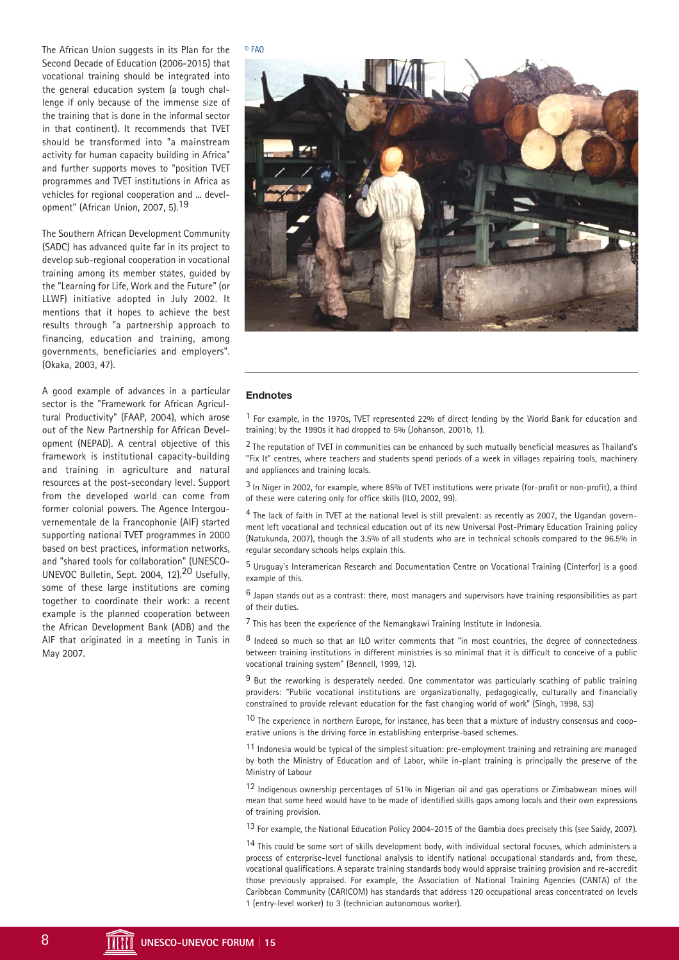The African Union suggests in its Plan for the Second Decade of Education (2006-2015) that vocational training should be integrated into the general education system (a tough challenge if only because of the immense size of the training that is done in the informal sector in that continent). It recommends that TVET should be transformed into "a mainstream activity for human capacity building in Africa" and further supports moves to "position TVET programmes and TVET institutions in Africa as vehicles for regional cooperation and ... development" (African Union, 2007, 5).19

The Southern African Development Community (SADC) has advanced quite far in its project to develop sub-regional cooperation in vocational training among its member states, guided by the "Learning for Life, Work and the Future" (or LLWF) initiative adopted in July 2002. It mentions that it hopes to achieve the best results through "a partnership approach to financing, education and training, among governments, beneficiaries and employers". (Okaka, 2003, 47).

A good example of advances in a particular sector is the "Framework for African Agricultural Productivity" (FAAP, 2004), which arose out of the New Partnership for African Development (NEPAD). A central objective of this framework is institutional capacity-building and training in agriculture and natural resources at the post-secondary level. Support from the developed world can come from former colonial powers. The Agence Intergouvernementale de la Francophonie (AIF) started supporting national TVET programmes in 2000 based on best practices, information networks, and "shared tools for collaboration" (UNESCO-UNEVOC Bulletin, Sept. 2004, 12).20 Usefully, some of these large institutions are coming together to coordinate their work: a recent example is the planned cooperation between the African Development Bank (ADB) and the AIF that originated in a meeting in Tunis in May 2007.

© FAO



#### **Endnotes**

1 For example, in the 1970s, TVET represented 22% of direct lending by the World Bank for education and training; by the 1990s it had dropped to 5% (Johanson, 2001b, 1).

2 The reputation of TVET in communities can be enhanced by such mutually beneficial measures as Thailand's "Fix It" centres, where teachers and students spend periods of a week in villages repairing tools, machinery and appliances and training locals.

 $3$  In Niger in 2002, for example, where 85% of TVET institutions were private (for-profit or non-profit), a third of these were catering only for office skills (ILO, 2002, 99).

4 The lack of faith in TVET at the national level is still prevalent: as recently as 2007, the Ugandan government left vocational and technical education out of its new Universal Post-Primary Education Training policy (Natukunda, 2007), though the 3.5% of all students who are in technical schools compared to the 96.5% in regular secondary schools helps explain this.

5 Uruguay's Interamerican Research and Documentation Centre on Vocational Training (Cinterfor) is a good example of this.

6 Japan stands out as a contrast: there, most managers and supervisors have training responsibilities as part of their duties.

7 This has been the experience of the Nemangkawi Training Institute in Indonesia.

8 Indeed so much so that an ILO writer comments that "in most countries, the degree of connectedness between training institutions in different ministries is so minimal that it is difficult to conceive of a public vocational training system" (Bennell, 1999, 12).

9 But the reworking is desperately needed. One commentator was particularly scathing of public training providers: "Public vocational institutions are organizationally, pedagogically, culturally and financially constrained to provide relevant education for the fast changing world of work" (Singh, 1998, 53)

10 The experience in northern Europe, for instance, has been that a mixture of industry consensus and cooperative unions is the driving force in establishing enterprise-based schemes.

 $11$  Indonesia would be typical of the simplest situation: pre-employment training and retraining are managed by both the Ministry of Education and of Labor, while in-plant training is principally the preserve of the Ministry of Labour

12 Indigenous ownership percentages of 51% in Nigerian oil and gas operations or Zimbabwean mines will mean that some heed would have to be made of identified skills gaps among locals and their own expressions of training provision.

13 For example, the National Education Policy 2004-2015 of the Gambia does precisely this (see Saidy, 2007).

14 This could be some sort of skills development body, with individual sectoral focuses, which administers a process of enterprise-level functional analysis to identify national occupational standards and, from these, vocational qualifications. A separate training standards body would appraise training provision and re-accredit those previously appraised. For example, the Association of National Training Agencies (CANTA) of the Caribbean Community (CARICOM) has standards that address 120 occupational areas concentrated on levels 1 (entry-level worker) to 3 (technician autonomous worker).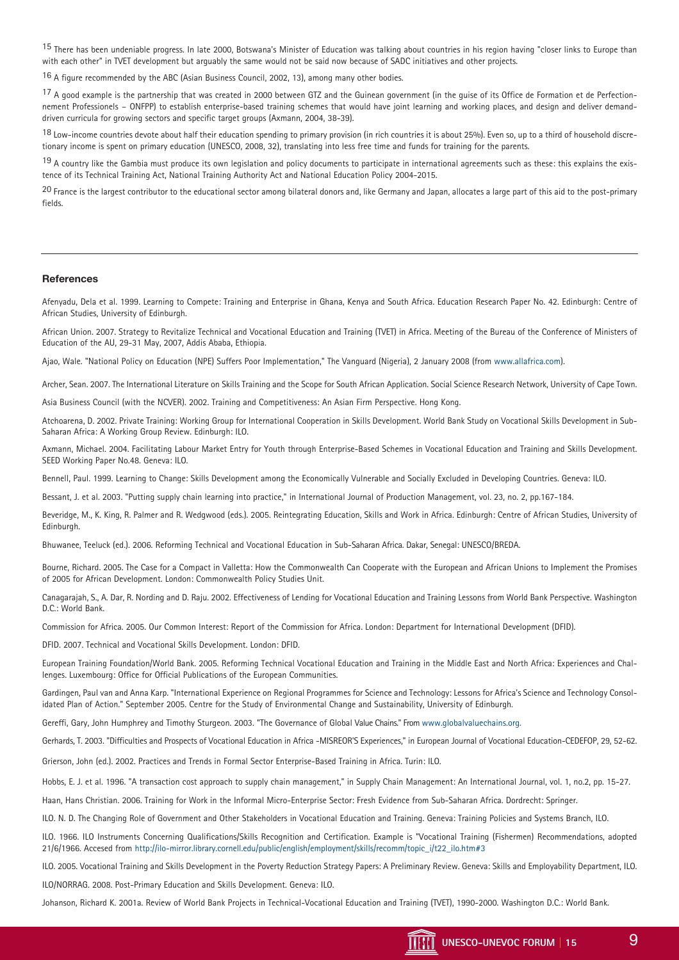<sup>15</sup> There has been undeniable progress. In late 2000, Botswana's Minister of Education was talking about countries in his region having "closer links to Europe than with each other" in TVET development but arguably the same would not be said now because of SADC initiatives and other projects.

16 A figure recommended by the ABC (Asian Business Council, 2002, 13), among many other bodies.

17 A good example is the partnership that was created in 2000 between GTZ and the Guinean government (in the guise of its Office de Formation et de Perfectionnement Professionels – ONFPP) to establish enterprise-based training schemes that would have joint learning and working places, and design and deliver demanddriven curricula for growing sectors and specific target groups (Axmann, 2004, 38-39).

18 Low-income countries devote about half their education spending to primary provision (in rich countries it is about 25%). Even so, up to a third of household discretionary income is spent on primary education (UNESCO, 2008, 32), translating into less free time and funds for training for the parents.

19 A country like the Gambia must produce its own legislation and policy documents to participate in international agreements such as these: this explains the existence of its Technical Training Act, National Training Authority Act and National Education Policy 2004-2015.

<sup>20</sup> France is the largest contributor to the educational sector among bilateral donors and, like Germany and Japan, allocates a large part of this aid to the post-primary fields.

#### **References**

Afenyadu, Dela et al. 1999. Learning to Compete: Training and Enterprise in Ghana, Kenya and South Africa. Education Research Paper No. 42. Edinburgh: Centre of African Studies, University of Edinburgh.

African Union. 2007. Strategy to Revitalize Technical and Vocational Education and Training (TVET) in Africa. Meeting of the Bureau of the Conference of Ministers of Education of the AU, 29-31 May, 2007, Addis Ababa, Ethiopia.

Ajao, Wale. "National Policy on Education (NPE) Suffers Poor Implementation," The Vanguard (Nigeria), 2 January 2008 (from www.allafrica.com).

Archer, Sean. 2007. The International Literature on Skills Training and the Scope for South African Application. Social Science Research Network, University of Cape Town.

Asia Business Council (with the NCVER). 2002. Training and Competitiveness: An Asian Firm Perspective. Hong Kong.

Atchoarena, D. 2002. Private Training: Working Group for International Cooperation in Skills Development. World Bank Study on Vocational Skills Development in Sub-Saharan Africa: A Working Group Review. Edinburgh: ILO.

Axmann, Michael. 2004. Facilitating Labour Market Entry for Youth through Enterprise-Based Schemes in Vocational Education and Training and Skills Development. SEED Working Paper No.48. Geneva: ILO.

Bennell, Paul. 1999. Learning to Change: Skills Development among the Economically Vulnerable and Socially Excluded in Developing Countries. Geneva: ILO.

Bessant, J. et al. 2003. "Putting supply chain learning into practice," in International Journal of Production Management, vol. 23, no. 2, pp.167-184.

Beveridge, M., K. King, R. Palmer and R. Wedgwood (eds.). 2005. Reintegrating Education, Skills and Work in Africa. Edinburgh: Centre of African Studies, University of Edinburgh.

Bhuwanee, Teeluck (ed.). 2006. Reforming Technical and Vocational Education in Sub-Saharan Africa. Dakar, Senegal: UNESCO/BREDA.

Bourne, Richard. 2005. The Case for a Compact in Valletta: How the Commonwealth Can Cooperate with the European and African Unions to Implement the Promises of 2005 for African Development. London: Commonwealth Policy Studies Unit.

Canagarajah, S., A. Dar, R. Nording and D. Raju. 2002. Effectiveness of Lending for Vocational Education and Training Lessons from World Bank Perspective. Washington D.C.: World Bank.

Commission for Africa. 2005. Our Common Interest: Report of the Commission for Africa. London: Department for International Development (DFID).

DFID. 2007. Technical and Vocational Skills Development. London: DFID.

European Training Foundation/World Bank. 2005. Reforming Technical Vocational Education and Training in the Middle East and North Africa: Experiences and Challenges. Luxembourg: Office for Official Publications of the European Communities.

Gardingen, Paul van and Anna Karp. "International Experience on Regional Programmes for Science and Technology: Lessons for Africa's Science and Technology Consolidated Plan of Action." September 2005. Centre for the Study of Environmental Change and Sustainability, University of Edinburgh.

Gereffi, Gary, John Humphrey and Timothy Sturgeon. 2003. "The Governance of Global Value Chains." From www.globalvaluechains.org.

Gerhards, T. 2003. "Difficulties and Prospects of Vocational Education in Africa -MISREOR'S Experiences," in European Journal of Vocational Education-CEDEFOP, 29, 52-62.

Grierson, John (ed.). 2002. Practices and Trends in Formal Sector Enterprise-Based Training in Africa. Turin: ILO.

Hobbs, E. J. et al. 1996. "A transaction cost approach to supply chain management," in Supply Chain Management: An International Journal, vol. 1, no.2, pp. 15-27.

Haan, Hans Christian. 2006. Training for Work in the Informal Micro-Enterprise Sector: Fresh Evidence from Sub-Saharan Africa. Dordrecht: Springer.

ILO. N. D. The Changing Role of Government and Other Stakeholders in Vocational Education and Training. Geneva: Training Policies and Systems Branch, ILO.

ILO. 1966. ILO Instruments Concerning Qualifications/Skills Recognition and Certification. Example is "Vocational Training (Fishermen) Recommendations, adopted 21/6/1966. Accesed from http://ilo-mirror.library.cornell.edu/public/english/employment/skills/recomm/topic\_i/t22\_ilo.htm#3

ILO. 2005. Vocational Training and Skills Development in the Poverty Reduction Strategy Papers: A Preliminary Review. Geneva: Skills and Employability Department, ILO. ILO/NORRAG. 2008. Post-Primary Education and Skills Development. Geneva: ILO.

Johanson, Richard K. 2001a. Review of World Bank Projects in Technical-Vocational Education and Training (TVET), 1990-2000. Washington D.C.: World Bank.